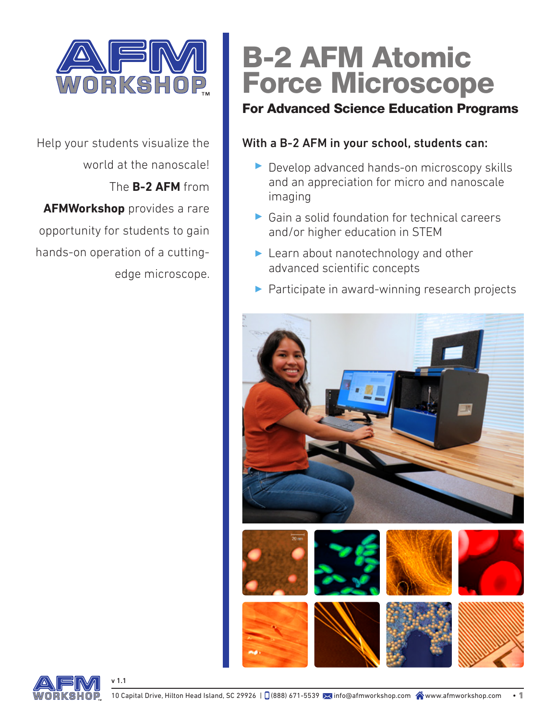

Help your students visualize the world at the nanoscale! The **B-2 AFM** from **AFMWorkshop** provides a rare opportunity for students to gain hands-on operation of a cuttingedge microscope.

# B-2 AFM Atomic Force Microscope

### For Advanced Science Education Programs

### With a B-2 AFM in your school, students can:

- Develop advanced hands-on microscopy skills and an appreciation for micro and nanoscale imaging
- $\triangleright$  Gain a solid foundation for technical careers and/or higher education in STEM
- ▶ Learn about nanotechnology and other advanced scientific concepts
- **Participate in award-winning research projects**





v 1.1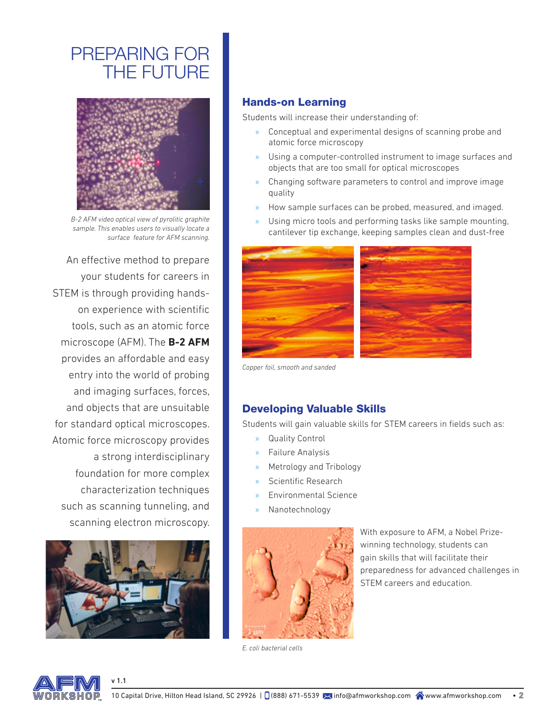# PREPARING FOR THE FUTURE



*B-2 AFM video optical view of pyrolitic graphite sample. This enables users to visually locate a surface feature for AFM scanning.*

An effective method to prepare your students for careers in STEM is through providing handson experience with scientific tools, such as an atomic force microscope (AFM). The **B-2 AFM** provides an affordable and easy entry into the world of probing and imaging surfaces, forces, and objects that are unsuitable for standard optical microscopes. Atomic force microscopy provides a strong interdisciplinary foundation for more complex characterization techniques such as scanning tunneling, and scanning electron microscopy.



v 1.1

#### Hands-on Learning

Students will increase their understanding of:

- » Conceptual and experimental designs of scanning probe and atomic force microscopy
- » Using a computer-controlled instrument to image surfaces and objects that are too small for optical microscopes
- » Changing software parameters to control and improve image quality
- » How sample surfaces can be probed, measured, and imaged.
- » Using micro tools and performing tasks like sample mounting, cantilever tip exchange, keeping samples clean and dust-free



*Copper foil, smooth and sanded*

#### Developing Valuable Skills

Students will gain valuable skills for STEM careers in fields such as:

- » Quality Control
- » Failure Analysis
- » Metrology and Tribology
- » Scientific Research
- » Environmental Science
- » Nanotechnology



With exposure to AFM, a Nobel Prizewinning technology, students can gain skills that will facilitate their preparedness for advanced challenges in STEM careers and education.

*E. coli bacterial cells*

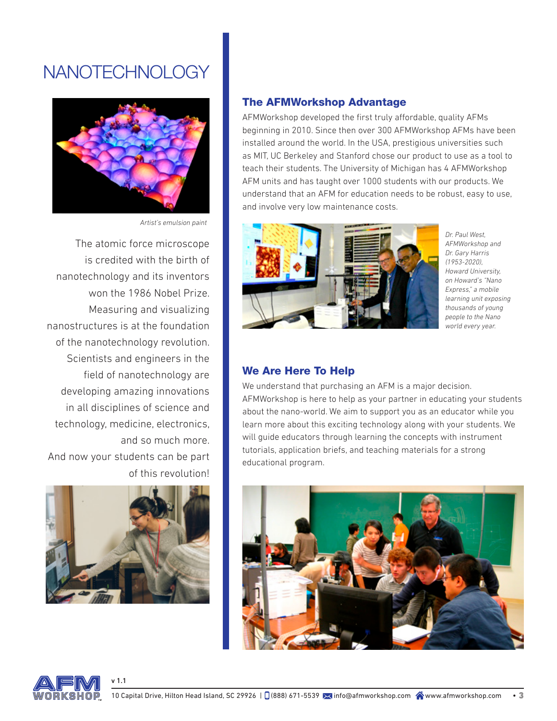# NANOTECHNOLOGY



*Artist's emulsion paint*

The atomic force microscope is credited with the birth of nanotechnology and its inventors won the 1986 Nobel Prize. Measuring and visualizing nanostructures is at the foundation of the nanotechnology revolution. Scientists and engineers in the field of nanotechnology are developing amazing innovations in all disciplines of science and technology, medicine, electronics, and so much more. And now your students can be part of this revolution!



v 1.1

#### The AFMWorkshop Advantage

AFMWorkshop developed the first truly affordable, quality AFMs beginning in 2010. Since then over 300 AFMWorkshop AFMs have been installed around the world. In the USA, prestigious universities such as MIT, UC Berkeley and Stanford chose our product to use as a tool to teach their students. The University of Michigan has 4 AFMWorkshop AFM units and has taught over 1000 students with our products. We understand that an AFM for education needs to be robust, easy to use, and involve very low maintenance costs.



*Dr. Paul West, AFMWorkshop and Dr. Gary Harris (1953-2020), Howard University, on Howard's "Nano Express," a mobile learning unit exposing thousands of young people to the Nano world every year.*

#### We Are Here To Help

We understand that purchasing an AFM is a major decision. AFMWorkshop is here to help as your partner in educating your students about the nano-world. We aim to support you as an educator while you learn more about this exciting technology along with your students. We will guide educators through learning the concepts with instrument tutorials, application briefs, and teaching materials for a strong educational program.